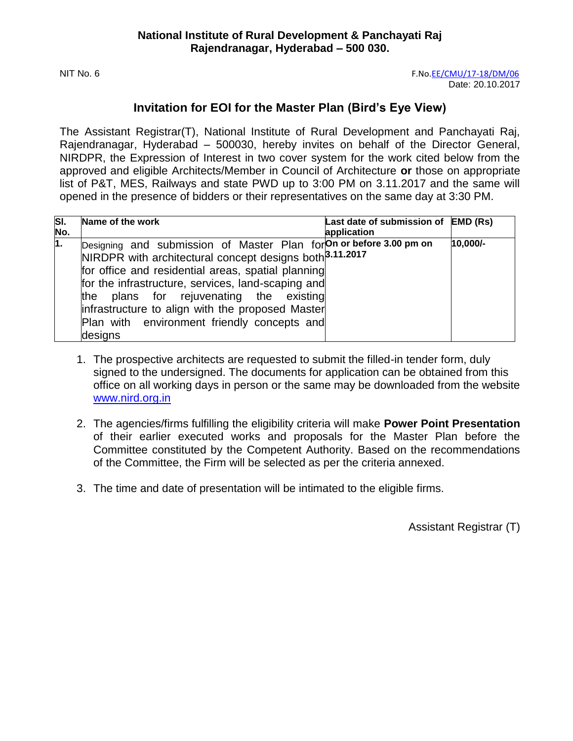# **Invitation for EOI for the Master Plan (Bird's Eye View)**

The Assistant Registrar(T), National Institute of Rural Development and Panchayati Raj, Rajendranagar, Hyderabad – 500030, hereby invites on behalf of the Director General, NIRDPR, the Expression of Interest in two cover system for the work cited below from the approved and eligible Architects/Member in Council of Architecture **or** those on appropriate list of P&T, MES, Railways and state PWD up to 3:00 PM on 3.11.2017 and the same will opened in the presence of bidders or their representatives on the same day at 3:30 PM.

| SI.<br>No.     | Name of the work                                                                                                                                                                                                                                                                                                                                                                                                | Last date of submission of EMD (Rs)<br>application |            |
|----------------|-----------------------------------------------------------------------------------------------------------------------------------------------------------------------------------------------------------------------------------------------------------------------------------------------------------------------------------------------------------------------------------------------------------------|----------------------------------------------------|------------|
| $\mathbf{1}$ . | Designing and submission of Master Plan for On or before 3.00 pm on<br>NIRDPR with architectural concept designs both <sup>3.11.2017</sup><br>for office and residential areas, spatial planning<br>for the infrastructure, services, land-scaping and<br>the plans for rejuvenating the existing<br>infrastructure to align with the proposed Master<br>Plan with environment friendly concepts and<br>designs |                                                    | $10,000/-$ |

- 1. The prospective architects are requested to submit the filled-in tender form, duly signed to the undersigned. The documents for application can be obtained from this office on all working days in person or the same may be downloaded from the website [www.nird.org.in](http://www.nird.org.in/)
- 2. The agencies/firms fulfilling the eligibility criteria will make **Power Point Presentation**  of their earlier executed works and proposals for the Master Plan before the Committee constituted by the Competent Authority. Based on the recommendations of the Committee, the Firm will be selected as per the criteria annexed.
- 3. The time and date of presentation will be intimated to the eligible firms.

Assistant Registrar (T)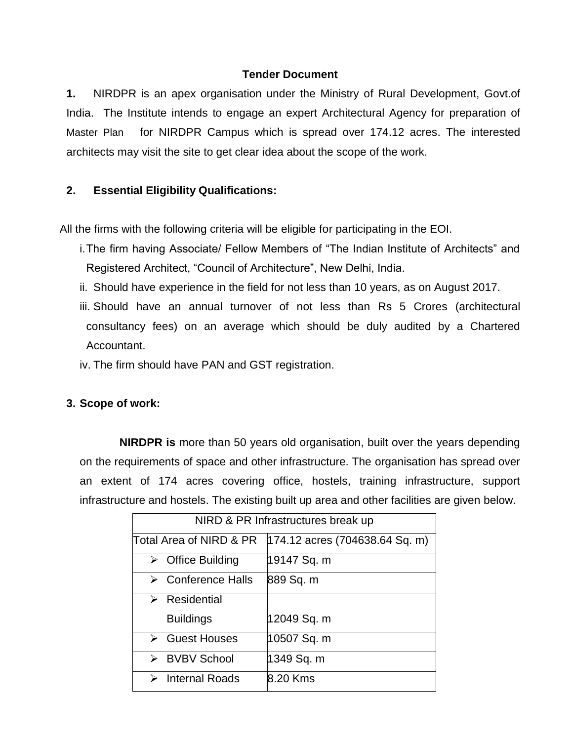#### **Tender Document**

**1.** NIRDPR is an apex organisation under the Ministry of Rural Development, Govt.of India. The Institute intends to engage an expert Architectural Agency for preparation of Master Plan for NIRDPR Campus which is spread over 174.12 acres. The interested architects may visit the site to get clear idea about the scope of the work.

# **2. Essential Eligibility Qualifications:**

All the firms with the following criteria will be eligible for participating in the EOI.

- i.The firm having Associate/ Fellow Members of "The Indian Institute of Architects" and Registered Architect, "Council of Architecture", New Delhi, India.
- ii. Should have experience in the field for not less than 10 years, as on August 2017.
- iii. Should have an annual turnover of not less than Rs 5 Crores (architectural consultancy fees) on an average which should be duly audited by a Chartered Accountant.
- iv. The firm should have PAN and GST registration.

# **3. Scope of work:**

**NIRDPR is** more than 50 years old organisation, built over the years depending on the requirements of space and other infrastructure. The organisation has spread over an extent of 174 acres covering office, hostels, training infrastructure, support infrastructure and hostels. The existing built up area and other facilities are given below.

| NIRD & PR Infrastructures break up |                                   |  |  |  |
|------------------------------------|-----------------------------------|--|--|--|
| Total Area of NIRD & PR            | $ 174.12$ acres (704638.64 Sq. m) |  |  |  |
| $\triangleright$ Office Building   | 19147 Sq. m                       |  |  |  |
| Conference Halls<br>➤              | 889 Sq. m                         |  |  |  |
| Residential<br>➤                   |                                   |  |  |  |
| <b>Buildings</b>                   | 12049 Sq. m                       |  |  |  |
| <b>Guest Houses</b>                | 10507 Sq. m                       |  |  |  |
| <b>BVBV School</b><br>↘            | 1349 Sq. m                        |  |  |  |
| <b>Internal Roads</b><br>↘         | 8.20 Kms                          |  |  |  |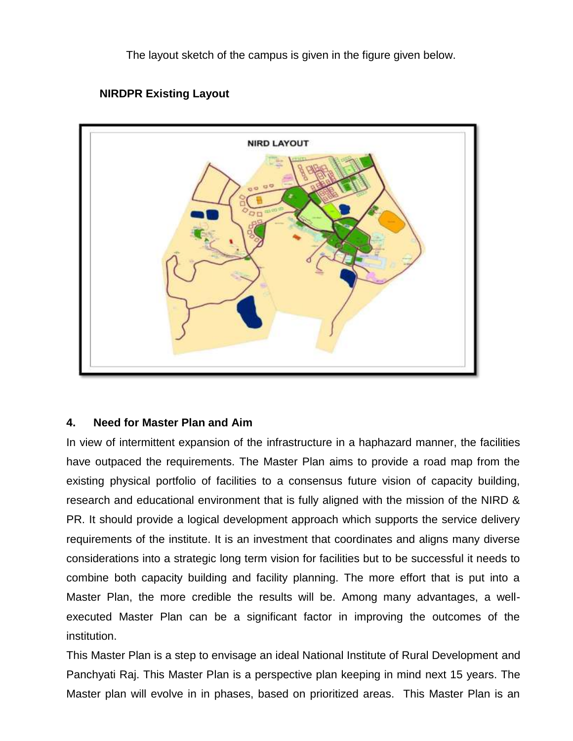The layout sketch of the campus is given in the figure given below.



# **NIRDPR Existing Layout**

# **4. Need for Master Plan and Aim**

In view of intermittent expansion of the infrastructure in a haphazard manner, the facilities have outpaced the requirements. The Master Plan aims to provide a road map from the existing physical portfolio of facilities to a consensus future vision of capacity building, research and educational environment that is fully aligned with the mission of the NIRD & PR. It should provide a logical development approach which supports the service delivery requirements of the institute. It is an investment that coordinates and aligns many diverse considerations into a strategic long term vision for facilities but to be successful it needs to combine both capacity building and facility planning. The more effort that is put into a Master Plan, the more credible the results will be. Among many advantages, a wellexecuted Master Plan can be a significant factor in improving the outcomes of the institution.

This Master Plan is a step to envisage an ideal National Institute of Rural Development and Panchyati Raj. This Master Plan is a perspective plan keeping in mind next 15 years. The Master plan will evolve in in phases, based on prioritized areas. This Master Plan is an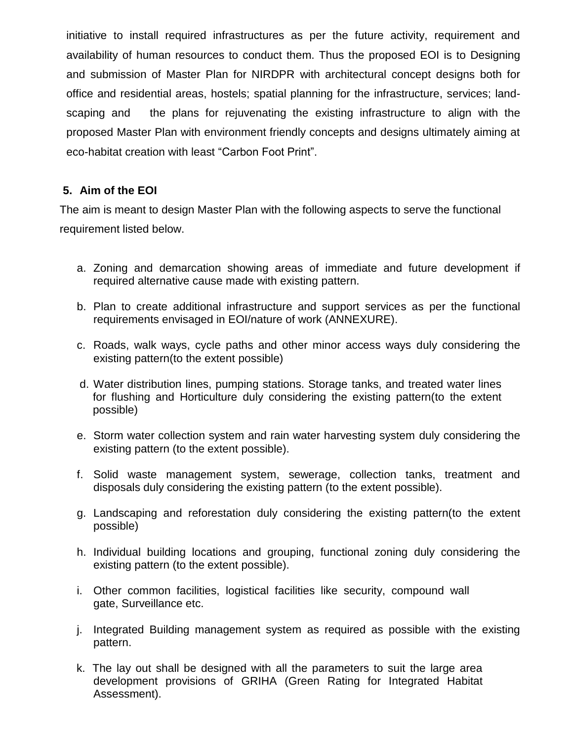initiative to install required infrastructures as per the future activity, requirement and availability of human resources to conduct them. Thus the proposed EOI is to Designing and submission of Master Plan for NIRDPR with architectural concept designs both for office and residential areas, hostels; spatial planning for the infrastructure, services; landscaping and the plans for rejuvenating the existing infrastructure to align with the proposed Master Plan with environment friendly concepts and designs ultimately aiming at eco-habitat creation with least "Carbon Foot Print".

# **5. Aim of the EOI**

The aim is meant to design Master Plan with the following aspects to serve the functional requirement listed below.

- a. Zoning and demarcation showing areas of immediate and future development if required alternative cause made with existing pattern.
- b. Plan to create additional infrastructure and support services as per the functional requirements envisaged in EOI/nature of work (ANNEXURE).
- c. Roads, walk ways, cycle paths and other minor access ways duly considering the existing pattern(to the extent possible)
- d. Water distribution lines, pumping stations. Storage tanks, and treated water lines for flushing and Horticulture duly considering the existing pattern(to the extent possible)
- e. Storm water collection system and rain water harvesting system duly considering the existing pattern (to the extent possible).
- f. Solid waste management system, sewerage, collection tanks, treatment and disposals duly considering the existing pattern (to the extent possible).
- g. Landscaping and reforestation duly considering the existing pattern(to the extent possible)
- h. Individual building locations and grouping, functional zoning duly considering the existing pattern (to the extent possible).
- i. Other common facilities, logistical facilities like security, compound wall gate, Surveillance etc.
- j. Integrated Building management system as required as possible with the existing pattern.
- k. The lay out shall be designed with all the parameters to suit the large area development provisions of GRIHA (Green Rating for Integrated Habitat Assessment).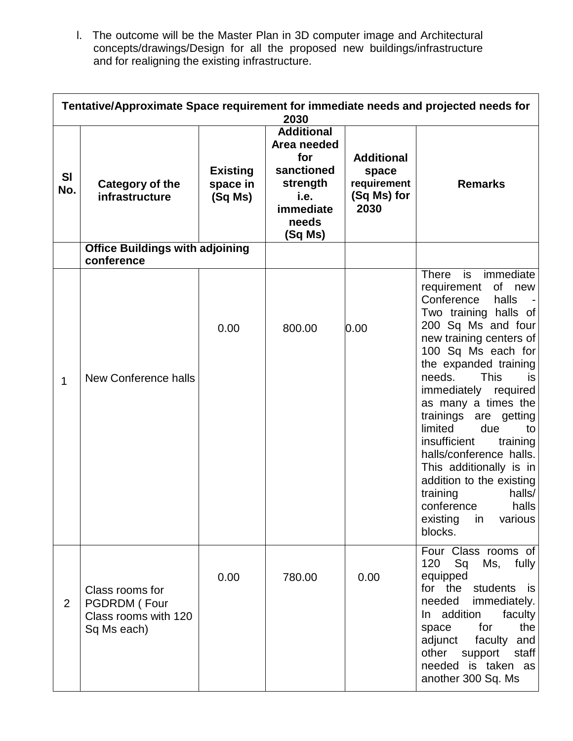l. The outcome will be the Master Plan in 3D computer image and Architectural concepts/drawings/Design for all the proposed new buildings/infrastructure and for realigning the existing infrastructure.

|                | Tentative/Approximate Space requirement for immediate needs and projected needs for<br>2030 |                                        |                                                                                                            |                                                                  |                                                                                                                                                                                                                                                                                                                                                                                                                                                                                                                                                            |  |
|----------------|---------------------------------------------------------------------------------------------|----------------------------------------|------------------------------------------------------------------------------------------------------------|------------------------------------------------------------------|------------------------------------------------------------------------------------------------------------------------------------------------------------------------------------------------------------------------------------------------------------------------------------------------------------------------------------------------------------------------------------------------------------------------------------------------------------------------------------------------------------------------------------------------------------|--|
| SI<br>No.      | Category of the<br>infrastructure                                                           | <b>Existing</b><br>space in<br>(Sq Ms) | <b>Additional</b><br>Area needed<br>for<br>sanctioned<br>strength<br>i.e.<br>immediate<br>needs<br>(Sq Ms) | <b>Additional</b><br>space<br>requirement<br>(Sq Ms) for<br>2030 | <b>Remarks</b>                                                                                                                                                                                                                                                                                                                                                                                                                                                                                                                                             |  |
|                | <b>Office Buildings with adjoining</b><br>conference                                        |                                        |                                                                                                            |                                                                  |                                                                                                                                                                                                                                                                                                                                                                                                                                                                                                                                                            |  |
| $\mathbf{1}$   | New Conference halls                                                                        | 0.00                                   | 800.00                                                                                                     | 0.00                                                             | <b>There</b><br>immediate<br>is<br>of<br>requirement<br>new<br>Conference<br>halls<br>Two training halls of<br>200 Sq Ms and four<br>new training centers of<br>100 Sq Ms each for<br>the expanded training<br><b>This</b><br>needs.<br><b>is</b><br>immediately required<br>as many a times the<br>trainings<br>are<br>getting<br>due<br>limited<br>to<br>insufficient<br>training<br>halls/conference halls.<br>This additionally is in<br>addition to the existing<br>halls/<br>training<br>conference<br>halls<br>existing<br>in<br>various<br>blocks. |  |
| $\overline{2}$ | Class rooms for<br>PGDRDM (Four<br>Class rooms with 120<br>Sq Ms each)                      | 0.00                                   | 780.00                                                                                                     | 0.00                                                             | Four Class rooms of<br>120<br>Sq<br>fully<br>Ms,<br>equipped<br>for the students is<br>needed<br>immediately.<br>In addition<br>faculty<br>the<br>for<br>space<br>adjunct<br>faculty and<br>other<br>support<br>staff<br>needed is taken as<br>another 300 Sq. Ms                                                                                                                                                                                                                                                                                          |  |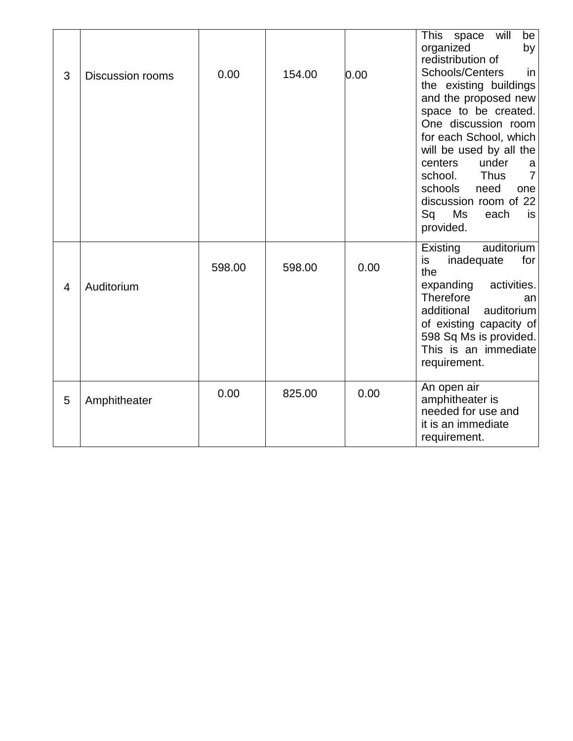| 3              | <b>Discussion rooms</b> | 0.00   | 154.00 | 0.00 | will<br>This<br>space<br>be<br>organized<br>by<br>redistribution of<br>Schools/Centers<br>in<br>the existing buildings<br>and the proposed new<br>space to be created.<br>One discussion room<br>for each School, which<br>will be used by all the<br>under<br>centers<br>a<br><b>Thus</b><br>school.<br>7<br>schools<br>need<br>one<br>discussion room of 22<br>Sq<br>Ms<br>each<br>is<br>provided. |
|----------------|-------------------------|--------|--------|------|------------------------------------------------------------------------------------------------------------------------------------------------------------------------------------------------------------------------------------------------------------------------------------------------------------------------------------------------------------------------------------------------------|
| $\overline{4}$ | Auditorium              | 598.00 | 598.00 | 0.00 | auditorium<br>Existing<br>inadequate<br>for<br>is<br>the<br>expanding<br>activities.<br>Therefore<br>an<br>additional<br>auditorium<br>of existing capacity of<br>598 Sq Ms is provided.<br>This is an immediate<br>requirement.                                                                                                                                                                     |
| 5              | Amphitheater            | 0.00   | 825.00 | 0.00 | An open air<br>amphitheater is<br>needed for use and<br>it is an immediate<br>requirement.                                                                                                                                                                                                                                                                                                           |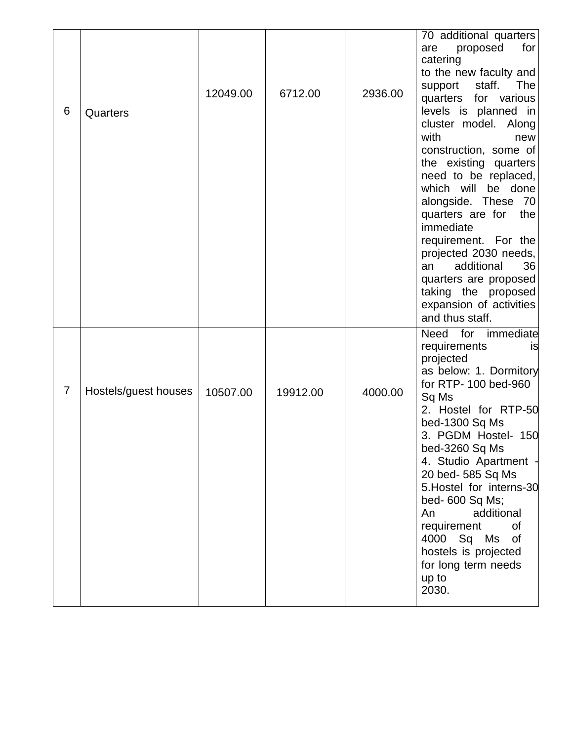| 6              | Quarters             | 12049.00 | 6712.00  | 2936.00 | 70 additional quarters<br>for<br>are<br>proposed<br>catering<br>to the new faculty and<br>support<br>staff.<br>The<br>quarters for various<br>levels is planned in<br>cluster model. Along<br>with<br>new<br>construction, some of<br>the existing quarters<br>need to be replaced,<br>which will be done<br>alongside. These 70<br>quarters are for<br>the<br>immediate<br>requirement. For the<br>projected 2030 needs,<br>additional<br>36<br>an<br>quarters are proposed<br>taking the proposed<br>expansion of activities<br>and thus staff. |
|----------------|----------------------|----------|----------|---------|---------------------------------------------------------------------------------------------------------------------------------------------------------------------------------------------------------------------------------------------------------------------------------------------------------------------------------------------------------------------------------------------------------------------------------------------------------------------------------------------------------------------------------------------------|
| $\overline{7}$ | Hostels/guest houses | 10507.00 | 19912.00 | 4000.00 | Need for immediate<br>requirements<br><b>IS</b><br>projected<br>as below: 1. Dormitory<br>for RTP- 100 bed-960<br>Sq Ms<br>2. Hostel for RTP-50<br>bed-1300 Sq Ms<br>3. PGDM Hostel- 150<br>bed-3260 Sq Ms<br>4. Studio Apartment -<br>20 bed- 585 Sq Ms<br>5. Hostel for interns-30<br>bed- 600 Sq Ms;<br>additional<br>An<br>requirement<br>0f<br>4000 Sq Ms<br>0f<br>hostels is projected<br>for long term needs<br>up to<br>2030.                                                                                                             |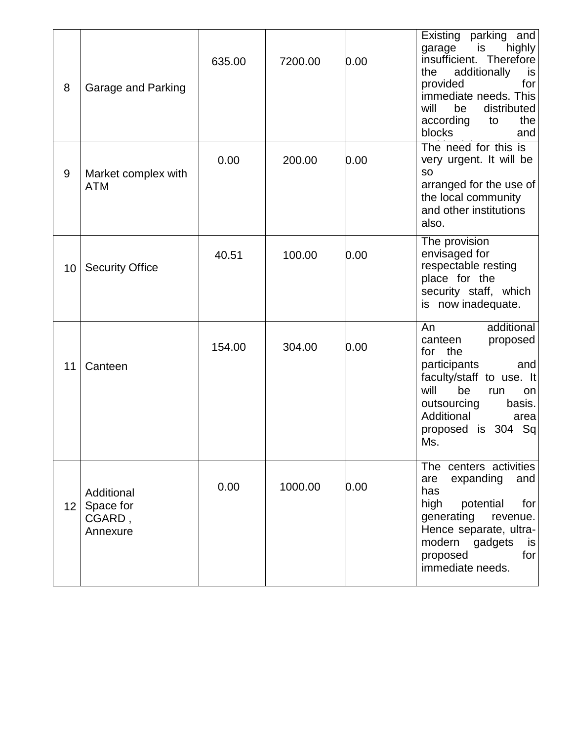| 8               | Garage and Parking                            | 635.00 | 7200.00 | 0.00 | Existing parking and<br>highly<br>garage<br>is<br>insufficient. Therefore<br>additionally<br>is<br>the<br>provided<br>for<br>immediate needs. This<br>distributed<br>will<br>be<br>the<br>according<br>to<br>blocks<br>and |
|-----------------|-----------------------------------------------|--------|---------|------|----------------------------------------------------------------------------------------------------------------------------------------------------------------------------------------------------------------------------|
| 9               | Market complex with<br><b>ATM</b>             | 0.00   | 200.00  | 0.00 | The need for this is<br>very urgent. It will be<br><b>SO</b><br>arranged for the use of<br>the local community<br>and other institutions<br>also.                                                                          |
| 10              | <b>Security Office</b>                        | 40.51  | 100.00  | 0.00 | The provision<br>envisaged for<br>respectable resting<br>place for the<br>security staff, which<br>is now inadequate.                                                                                                      |
| 11              | Canteen                                       | 154.00 | 304.00  | 0.00 | An<br>additional<br>canteen<br>proposed<br>for the<br>participants<br>and<br>faculty/staff to use. It<br>will<br>be<br>run<br>on<br>outsourcing<br>basis.<br>Additional<br>area<br>Sq<br>proposed is 304<br>Ms.            |
| 12 <sub>2</sub> | Additional<br>Space for<br>CGARD,<br>Annexure | 0.00   | 1000.00 | 0.00 | The centers activities<br>expanding<br>and<br>are<br>has<br>high<br>potential<br>for<br>generating<br>revenue.<br>Hence separate, ultra-<br>modern<br>gadgets<br>is<br>for<br>proposed<br>immediate needs.                 |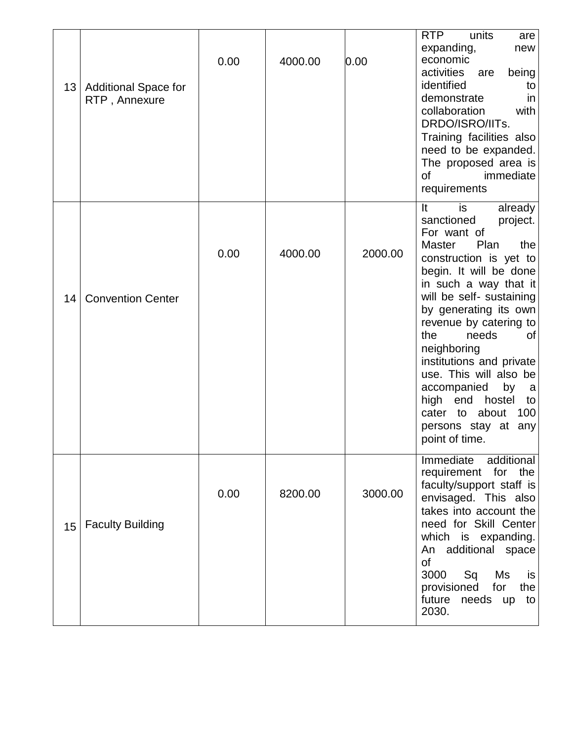| 13 <sup>2</sup> | <b>Additional Space for</b><br>RTP, Annexure | 0.00 | 4000.00 | 0.00    | units<br>RTP<br>are<br>expanding,<br>new<br>economic<br>activities<br>being<br>are<br>identified<br>to<br>demonstrate<br>in<br>collaboration<br>with<br>DRDO/ISRO/IITs.<br>Training facilities also<br>need to be expanded.<br>The proposed area is<br>immediate<br>of<br>requirements                                                                                                                                                                                         |
|-----------------|----------------------------------------------|------|---------|---------|--------------------------------------------------------------------------------------------------------------------------------------------------------------------------------------------------------------------------------------------------------------------------------------------------------------------------------------------------------------------------------------------------------------------------------------------------------------------------------|
| 14              | <b>Convention Center</b>                     | 0.00 | 4000.00 | 2000.00 | is<br>It<br>already<br>sanctioned<br>project.<br>For want of<br>Plan<br><b>Master</b><br>the<br>construction is yet to<br>begin. It will be done<br>in such a way that it<br>will be self- sustaining<br>by generating its own<br>revenue by catering to<br>needs<br>the<br>0f<br>neighboring<br>institutions and private<br>use. This will also be<br>accompanied<br>by<br>a<br>high<br>end<br>hostel<br>to<br>cater to about<br>100<br>persons stay at any<br>point of time. |
| 15              | <b>Faculty Building</b>                      | 0.00 | 8200.00 | 3000.00 | Immediate<br>additional<br>requirement<br>for the<br>faculty/support staff is<br>envisaged. This also<br>takes into account the<br>need for Skill Center<br>which is expanding.<br>An additional space<br>οf<br>3000<br>Sq<br>Ms<br>is<br>provisioned<br>for<br>the<br>future needs up<br>to<br>2030.                                                                                                                                                                          |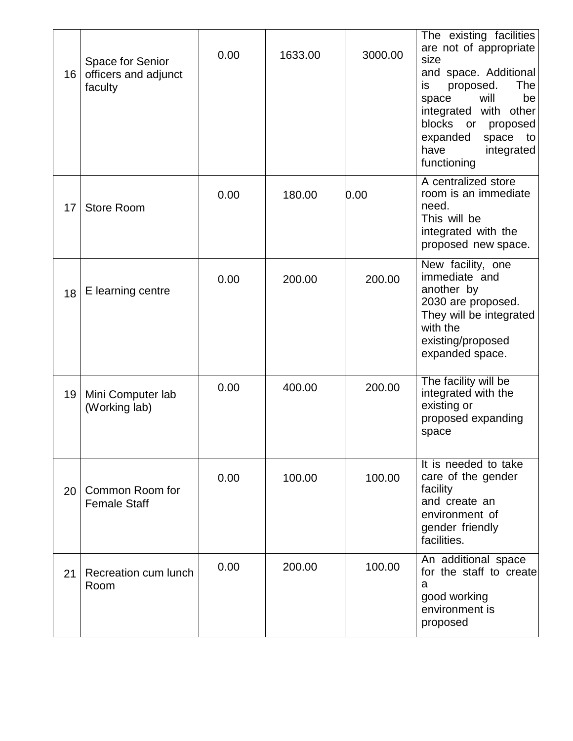| 16              | Space for Senior<br>officers and adjunct<br>faculty | 0.00 | 1633.00 | 3000.00 | The existing facilities<br>are not of appropriate<br>size<br>and space. Additional<br>proposed.<br>The<br>is<br>be<br>will<br>space<br>integrated with other<br>blocks<br>or<br>proposed<br>expanded<br>space<br>to<br>have<br>integrated<br>functioning |
|-----------------|-----------------------------------------------------|------|---------|---------|----------------------------------------------------------------------------------------------------------------------------------------------------------------------------------------------------------------------------------------------------------|
| 17              | <b>Store Room</b>                                   | 0.00 | 180.00  | 0.00    | A centralized store<br>room is an immediate<br>need.<br>This will be<br>integrated with the<br>proposed new space.                                                                                                                                       |
| 18              | E learning centre                                   | 0.00 | 200.00  | 200.00  | New facility, one<br>immediate and<br>another by<br>2030 are proposed.<br>They will be integrated<br>with the<br>existing/proposed<br>expanded space.                                                                                                    |
| 19              | Mini Computer lab<br>(Working lab)                  | 0.00 | 400.00  | 200.00  | The facility will be<br>integrated with the<br>existing or<br>proposed expanding<br>space                                                                                                                                                                |
| 20 <sup>1</sup> | Common Room for<br><b>Female Staff</b>              | 0.00 | 100.00  | 100.00  | It is needed to take<br>care of the gender<br>facility<br>and create an<br>environment of<br>gender friendly<br>facilities.                                                                                                                              |
| 21              | Recreation cum lunch<br>Room                        | 0.00 | 200.00  | 100.00  | An additional space<br>for the staff to create<br>a<br>good working<br>environment is<br>proposed                                                                                                                                                        |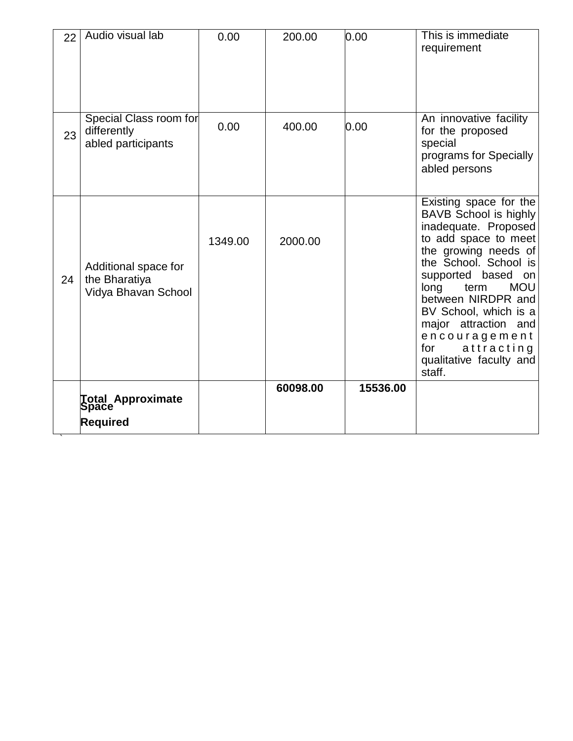| 22 | Audio visual lab                                             | 0.00    | 200.00   | 0.00     | This is immediate<br>requirement                                                                                                                                                                                                                                                                                                                          |
|----|--------------------------------------------------------------|---------|----------|----------|-----------------------------------------------------------------------------------------------------------------------------------------------------------------------------------------------------------------------------------------------------------------------------------------------------------------------------------------------------------|
| 23 | Special Class room for<br>differently<br>abled participants  | 0.00    | 400.00   | 0.00     | An innovative facility<br>for the proposed<br>special<br>programs for Specially<br>abled persons                                                                                                                                                                                                                                                          |
| 24 | Additional space for<br>the Bharatiya<br>Vidya Bhavan School | 1349.00 | 2000.00  |          | Existing space for the<br>BAVB School is highly<br>inadequate. Proposed<br>to add space to meet<br>the growing needs of<br>the School. School is<br>supported based<br>on<br>term<br><b>MOU</b><br>long<br>between NIRDPR and<br>BV School, which is a<br>major attraction and<br>encouragement<br>for<br>attracting<br>qualitative faculty and<br>staff. |
|    | <b>Total Approximate</b><br>Space<br>Required                |         | 60098.00 | 15536.00 |                                                                                                                                                                                                                                                                                                                                                           |

`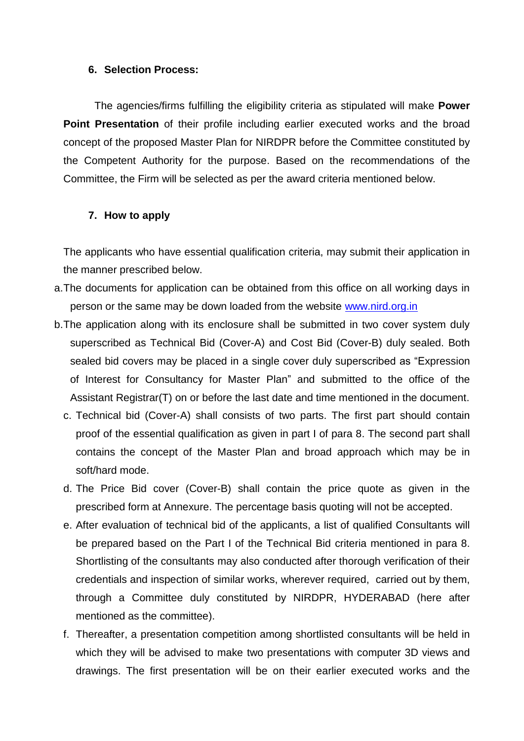#### **6. Selection Process:**

The agencies/firms fulfilling the eligibility criteria as stipulated will make **Power Point Presentation** of their profile including earlier executed works and the broad concept of the proposed Master Plan for NIRDPR before the Committee constituted by the Competent Authority for the purpose. Based on the recommendations of the Committee, the Firm will be selected as per the award criteria mentioned below.

### **7. How to apply**

The applicants who have essential qualification criteria, may submit their application in the manner prescribed below.

- a.The documents for application can be obtained from this office on all working days in person or the same may be down loaded from the website [www.nird.org.in](http://www.nird.org.in/)
- b.The application along with its enclosure shall be submitted in two cover system duly superscribed as Technical Bid (Cover-A) and Cost Bid (Cover-B) duly sealed. Both sealed bid covers may be placed in a single cover duly superscribed as "Expression of Interest for Consultancy for Master Plan" and submitted to the office of the Assistant Registrar(T) on or before the last date and time mentioned in the document.
	- c. Technical bid (Cover-A) shall consists of two parts. The first part should contain proof of the essential qualification as given in part I of para 8. The second part shall contains the concept of the Master Plan and broad approach which may be in soft/hard mode.
	- d. The Price Bid cover (Cover-B) shall contain the price quote as given in the prescribed form at Annexure. The percentage basis quoting will not be accepted.
	- e. After evaluation of technical bid of the applicants, a list of qualified Consultants will be prepared based on the Part I of the Technical Bid criteria mentioned in para 8. Shortlisting of the consultants may also conducted after thorough verification of their credentials and inspection of similar works, wherever required, carried out by them, through a Committee duly constituted by NIRDPR, HYDERABAD (here after mentioned as the committee).
	- f. Thereafter, a presentation competition among shortlisted consultants will be held in which they will be advised to make two presentations with computer 3D views and drawings. The first presentation will be on their earlier executed works and the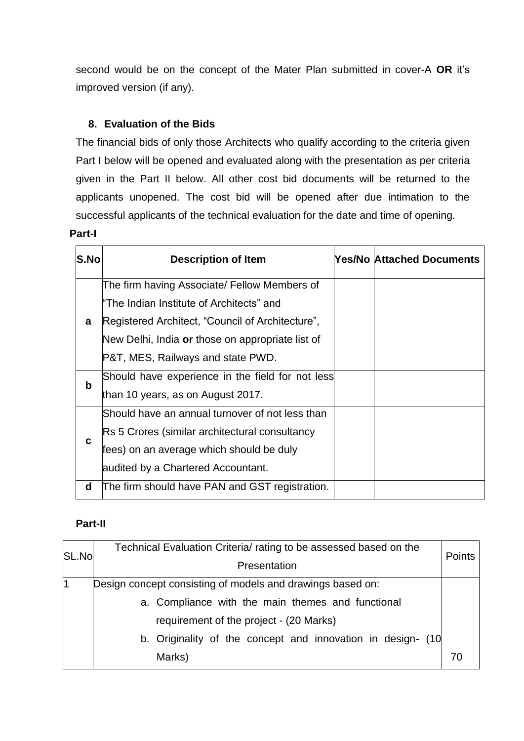second would be on the concept of the Mater Plan submitted in cover-A **OR** it's improved version (if any).

# **8. Evaluation of the Bids**

The financial bids of only those Architects who qualify according to the criteria given Part I below will be opened and evaluated along with the presentation as per criteria given in the Part II below. All other cost bid documents will be returned to the applicants unopened. The cost bid will be opened after due intimation to the successful applicants of the technical evaluation for the date and time of opening.

#### **Part-I**

| S.No        | <b>Description of Item</b>                       | <b>Yes/No Attached Documents</b> |
|-------------|--------------------------------------------------|----------------------------------|
|             | The firm having Associate/ Fellow Members of     |                                  |
|             | "The Indian Institute of Architects" and         |                                  |
| a           | Registered Architect, "Council of Architecture", |                                  |
|             | New Delhi, India or those on appropriate list of |                                  |
|             | P&T, MES, Railways and state PWD.                |                                  |
| $\mathbf b$ | Should have experience in the field for not less |                                  |
|             | than 10 years, as on August 2017.                |                                  |
|             | Should have an annual turnover of not less than  |                                  |
|             | Rs 5 Crores (similar architectural consultancy   |                                  |
| C           | fees) on an average which should be duly         |                                  |
|             | audited by a Chartered Accountant.               |                                  |
| d           | The firm should have PAN and GST registration.   |                                  |

# **Part-II**

| SL.No          | Technical Evaluation Criteria/ rating to be assessed based on the<br>Presentation                                                                                                                                                   | <b>Points</b> |
|----------------|-------------------------------------------------------------------------------------------------------------------------------------------------------------------------------------------------------------------------------------|---------------|
| $\overline{1}$ | Design concept consisting of models and drawings based on:<br>a. Compliance with the main themes and functional<br>requirement of the project - (20 Marks)<br>b. Originality of the concept and innovation in design- (10<br>Marks) | 70            |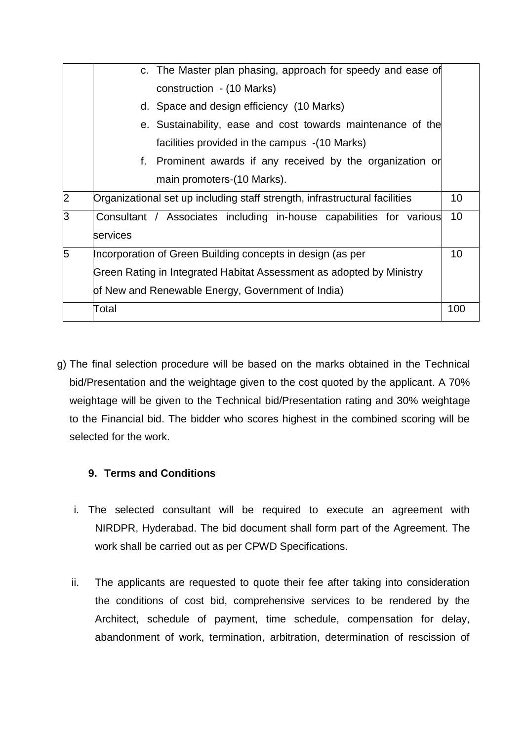|                |          | c. The Master plan phasing, approach for speedy and ease of                |     |
|----------------|----------|----------------------------------------------------------------------------|-----|
|                |          |                                                                            |     |
|                |          | construction - (10 Marks)                                                  |     |
|                |          | d. Space and design efficiency (10 Marks)                                  |     |
|                |          | e. Sustainability, ease and cost towards maintenance of the                |     |
|                |          | facilities provided in the campus -(10 Marks)                              |     |
|                | f.       | Prominent awards if any received by the organization or                    |     |
|                |          | main promoters-(10 Marks).                                                 |     |
| $\overline{2}$ |          | Organizational set up including staff strength, infrastructural facilities | 10  |
| 3              |          | Consultant / Associates including in-house capabilities for various        | 10  |
|                | services |                                                                            |     |
| 5              |          | Incorporation of Green Building concepts in design (as per                 | 10  |
|                |          | Green Rating in Integrated Habitat Assessment as adopted by Ministry       |     |
|                |          | of New and Renewable Energy, Government of India)                          |     |
|                | Total    |                                                                            | 100 |

g) The final selection procedure will be based on the marks obtained in the Technical bid/Presentation and the weightage given to the cost quoted by the applicant. A 70% weightage will be given to the Technical bid/Presentation rating and 30% weightage to the Financial bid. The bidder who scores highest in the combined scoring will be selected for the work.

# **9. Terms and Conditions**

- i. The selected consultant will be required to execute an agreement with NIRDPR, Hyderabad. The bid document shall form part of the Agreement. The work shall be carried out as per CPWD Specifications.
- ii. The applicants are requested to quote their fee after taking into consideration the conditions of cost bid, comprehensive services to be rendered by the Architect, schedule of payment, time schedule, compensation for delay, abandonment of work, termination, arbitration, determination of rescission of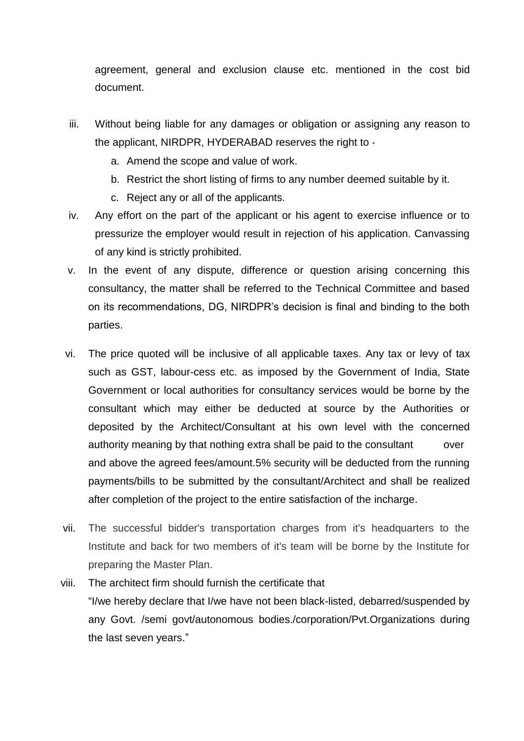agreement, general and exclusion clause etc. mentioned in the cost bid document.

- iii. Without being liable for any damages or obligation or assigning any reason to the applicant, NIRDPR, HYDERABAD reserves the right to ‐
	- a. Amend the scope and value of work.
	- b. Restrict the short listing of firms to any number deemed suitable by it.
	- c. Reject any or all of the applicants.
- iv. Any effort on the part of the applicant or his agent to exercise influence or to pressurize the employer would result in rejection of his application. Canvassing of any kind is strictly prohibited.
- v. In the event of any dispute, difference or question arising concerning this consultancy, the matter shall be referred to the Technical Committee and based on its recommendations, DG, NIRDPR's decision is final and binding to the both parties.
- vi. The price quoted will be inclusive of all applicable taxes. Any tax or levy of tax such as GST, labour-cess etc. as imposed by the Government of India, State Government or local authorities for consultancy services would be borne by the consultant which may either be deducted at source by the Authorities or deposited by the Architect/Consultant at his own level with the concerned authority meaning by that nothing extra shall be paid to the consultant over and above the agreed fees/amount.5% security will be deducted from the running payments/bills to be submitted by the consultant/Architect and shall be realized after completion of the project to the entire satisfaction of the incharge.
- vii. The successful bidder's transportation charges from it's headquarters to the Institute and back for two members of it's team will be borne by the Institute for preparing the Master Plan.
- viii. The architect firm should furnish the certificate that "I/we hereby declare that I/we have not been black-listed, debarred/suspended by any Govt. /semi govt/autonomous bodies./corporation/Pvt.Organizations during the last seven years."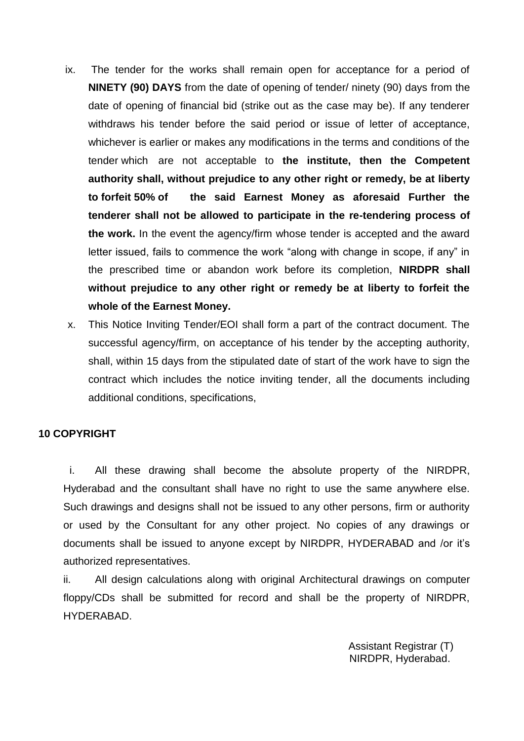- ix. The tender for the works shall remain open for acceptance for a period of **NINETY (90) DAYS** from the date of opening of tender/ ninety (90) days from the date of opening of financial bid (strike out as the case may be). If any tenderer withdraws his tender before the said period or issue of letter of acceptance, whichever is earlier or makes any modifications in the terms and conditions of the tender which are not acceptable to **the institute, then the Competent authority shall, without prejudice to any other right or remedy, be at liberty to forfeit 50% of the said Earnest Money as aforesaid Further the tenderer shall not be allowed to participate in the re-tendering process of the work.** In the event the agency/firm whose tender is accepted and the award letter issued, fails to commence the work "along with change in scope, if any" in the prescribed time or abandon work before its completion, **NIRDPR shall without prejudice to any other right or remedy be at liberty to forfeit the whole of the Earnest Money.**
- x. This Notice Inviting Tender/EOI shall form a part of the contract document. The successful agency/firm, on acceptance of his tender by the accepting authority, shall, within 15 days from the stipulated date of start of the work have to sign the contract which includes the notice inviting tender, all the documents including additional conditions, specifications,

# **10 COPYRIGHT**

i. All these drawing shall become the absolute property of the NIRDPR, Hyderabad and the consultant shall have no right to use the same anywhere else. Such drawings and designs shall not be issued to any other persons, firm or authority or used by the Consultant for any other project. No copies of any drawings or documents shall be issued to anyone except by NIRDPR, HYDERABAD and /or it's authorized representatives.

ii. All design calculations along with original Architectural drawings on computer floppy/CDs shall be submitted for record and shall be the property of NIRDPR, HYDERABAD.

> Assistant Registrar (T) NIRDPR, Hyderabad.